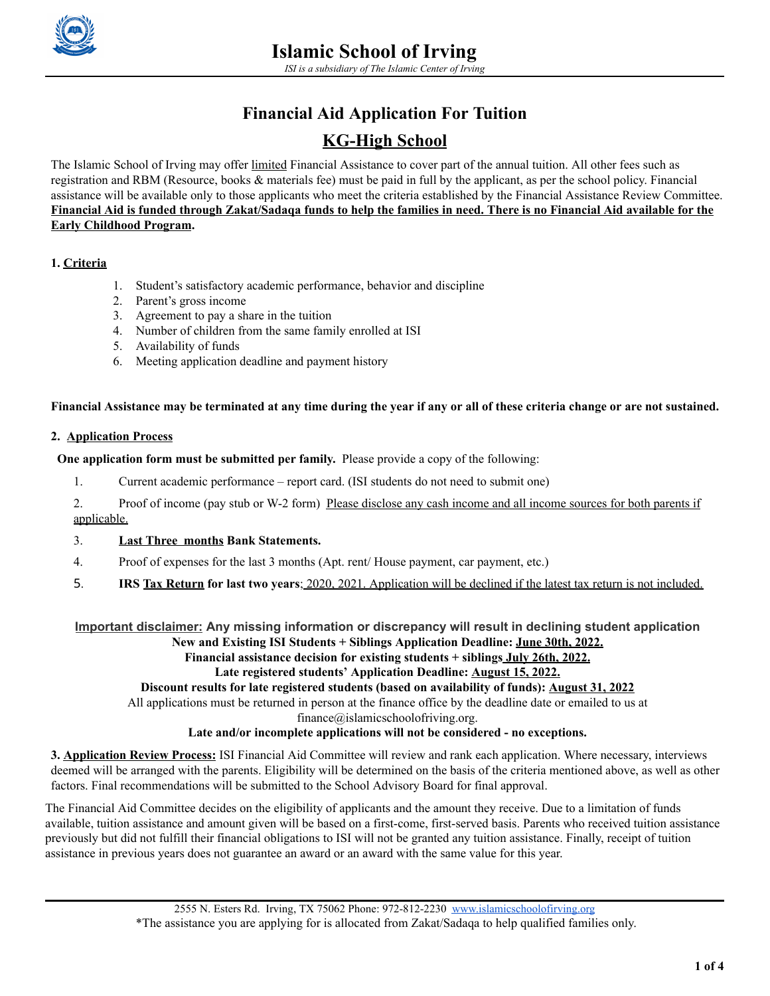

# **Financial Aid Application For Tuition**

## **KG-High School**

The Islamic School of Irving may offer limited Financial Assistance to cover part of the annual tuition. All other fees such as registration and RBM (Resource, books & materials fee) must be paid in full by the applicant, as per the school policy. Financial assistance will be available only to those applicants who meet the criteria established by the Financial Assistance Review Committee. Financial Aid is funded through Zakat/Sadaga funds to help the families in need. There is no Financial Aid available for the **Early Childhood Program.**

#### **1. Criteria**

- 1. Student's satisfactory academic performance, behavior and discipline
- 2. Parent's gross income
- 3. Agreement to pay a share in the tuition
- 4. Number of children from the same family enrolled at ISI
- 5. Availability of funds
- 6. Meeting application deadline and payment history

#### Financial Assistance may be terminated at any time during the year if any or all of these criteria change or are not sustained.

#### **2. Application Process**

**One application form must be submitted per family.** Please provide a copy of the following:

1. Current academic performance – report card. (ISI students do not need to submit one)

2. Proof of income (pay stub or W-2 form) Please disclose any cash income and all income sources for both parents if applicable.

#### 3. **Last Three months Bank Statements.**

- 4. Proof of expenses for the last 3 months (Apt. rent/ House payment, car payment, etc.)
- 5. **IRS Tax Return for last two years**; 2020, 2021. Application will be declined if the latest tax return is not included.

**Important disclaimer: Any missing information or discrepancy will result in declining student application**

**New and Existing ISI Students + Siblings Application Deadline: June 30th, 2022.**

**Financial assistance decision for existing students + siblings July 26th, 2022.**

**Late registered students' Application Deadline: August 15, 2022.**

**Discount results for late registered students (based on availability of funds): August 31, 2022**

All applications must be returned in person at the finance office by the deadline date or emailed to us at

finance@islamicschoolofriving.org.

#### **Late and/or incomplete applications will not be considered - no exceptions.**

**3. Application Review Process:** ISI Financial Aid Committee will review and rank each application. Where necessary, interviews deemed will be arranged with the parents. Eligibility will be determined on the basis of the criteria mentioned above, as well as other factors. Final recommendations will be submitted to the School Advisory Board for final approval.

The Financial Aid Committee decides on the eligibility of applicants and the amount they receive. Due to a limitation of funds available, tuition assistance and amount given will be based on a first-come, first-served basis. Parents who received tuition assistance previously but did not fulfill their financial obligations to ISI will not be granted any tuition assistance. Finally, receipt of tuition assistance in previous years does not guarantee an award or an award with the same value for this year.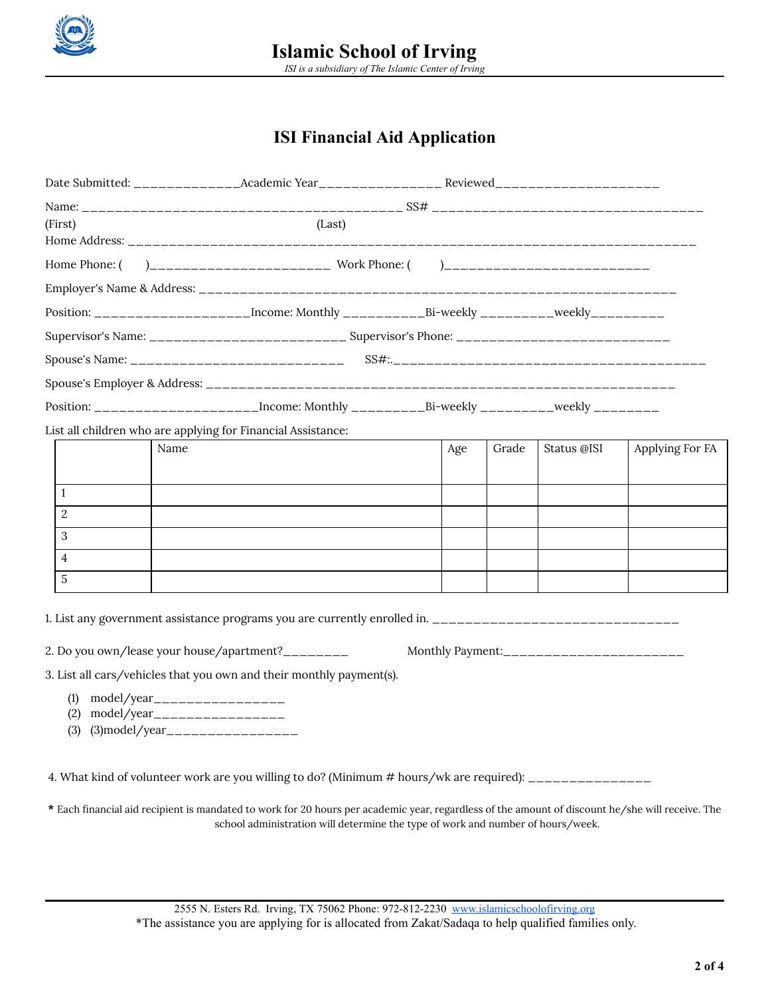

### **ISI Financial Aid Application**

| (First)           | (Last)                                                        |                                                                                                      |  |     |       |             |                 |  |
|-------------------|---------------------------------------------------------------|------------------------------------------------------------------------------------------------------|--|-----|-------|-------------|-----------------|--|
|                   |                                                               |                                                                                                      |  |     |       |             |                 |  |
| Home Phone: (     |                                                               |                                                                                                      |  |     |       |             |                 |  |
|                   |                                                               |                                                                                                      |  |     |       |             |                 |  |
|                   |                                                               | Position: _____________________Income: Monthly ____________Bi-weekly ________weekly_________         |  |     |       |             |                 |  |
|                   |                                                               | Supervisor's Name: ______________________________ Supervisor's Phone: ______________________________ |  |     |       |             |                 |  |
|                   |                                                               |                                                                                                      |  |     |       |             |                 |  |
|                   |                                                               |                                                                                                      |  |     |       |             |                 |  |
|                   |                                                               |                                                                                                      |  |     |       |             |                 |  |
|                   |                                                               | List all children who are applying for Financial Assistance:                                         |  |     |       |             |                 |  |
|                   | Name                                                          |                                                                                                      |  | Age | Grade | Status @ISI | Applying For FA |  |
|                   |                                                               |                                                                                                      |  |     |       |             |                 |  |
| 1                 |                                                               |                                                                                                      |  |     |       |             |                 |  |
| $\overline{2}$    |                                                               |                                                                                                      |  |     |       |             |                 |  |
| 3                 |                                                               |                                                                                                      |  |     |       |             |                 |  |
| $\overline{4}$    |                                                               |                                                                                                      |  |     |       |             |                 |  |
| 5                 |                                                               |                                                                                                      |  |     |       |             |                 |  |
|                   |                                                               |                                                                                                      |  |     |       |             |                 |  |
|                   |                                                               | 2. Do you own/lease your house/apartment?________                                                    |  |     |       |             |                 |  |
|                   |                                                               | 3. List all cars/vehicles that you own and their monthly payment(s).                                 |  |     |       |             |                 |  |
| (1)<br>(2)<br>(3) | model/year__________________<br>model/year___________________ |                                                                                                      |  |     |       |             |                 |  |
|                   |                                                               |                                                                                                      |  |     |       |             |                 |  |

4. What kind of volunteer work are you willing to do? (Minimum # hours/wk are required): \_\_\_\_\_\_\_\_\_\_\_\_\_\_\_

**\*** Each financial aid recipient is mandated to work for 20 hours per academic year, regardless of the amount of discount he/she will receive. The school administration will determine the type of work and number of hours/week.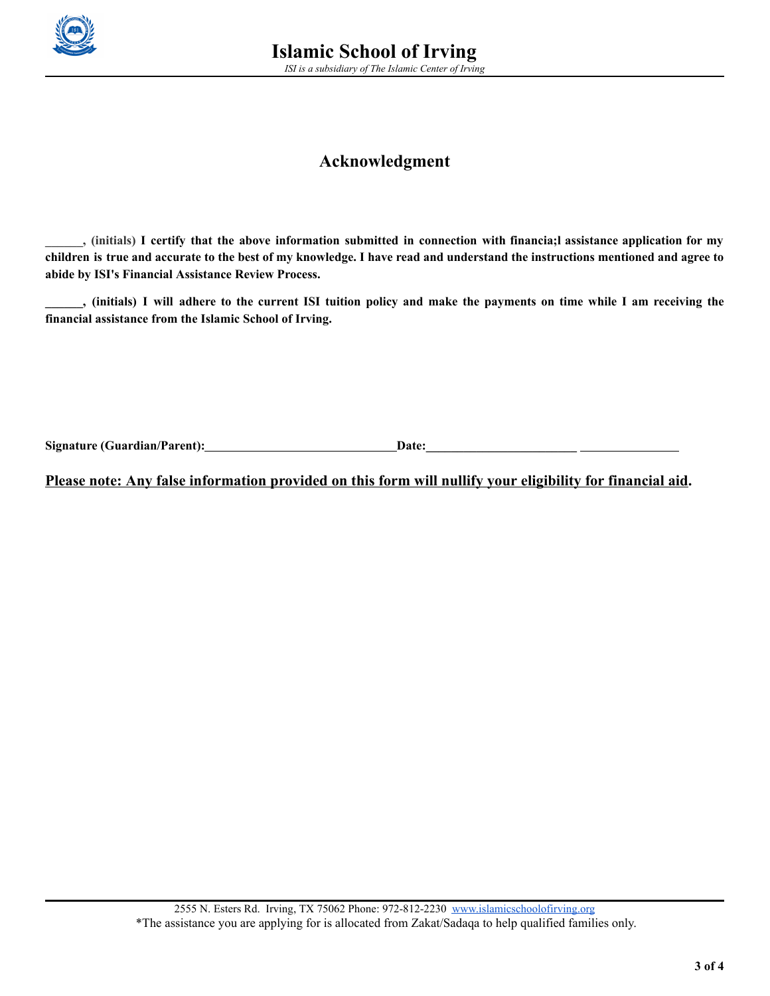

### **Acknowledgment**

... (initials) I certify that the above information submitted in connection with financia; lassistance application for my children is true and accurate to the best of my knowledge. I have read and understand the instructions mentioned and agree to **abide by ISI's Financial Assistance Review Process.**

..., (initials) I will adhere to the current ISI tuition policy and make the payments on time while I am receiving the **financial assistance from the Islamic School of Irving.**

Signature (Guardian/Parent): **Date: Date: Date: Date: Date: Date: Date: Date: Date: Date: Date: Date: Date: Date: Date: Date: Date: Date: Date: Date: Date: Date: Date: Date:**

**Please note: Any false information provided on this form will nullify your eligibility for financial aid.**